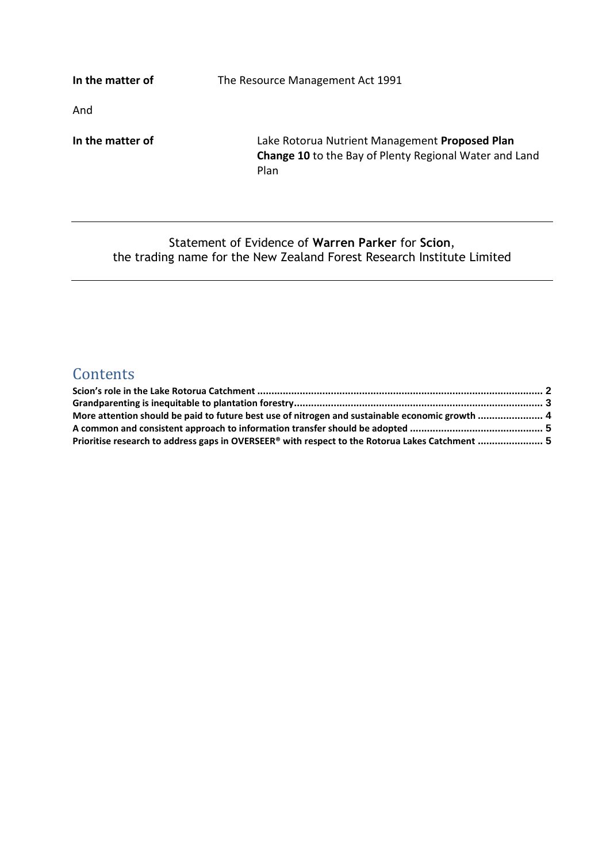**In the matter of The Resource Management Act 1991** 

And

**In the matter of** Lake Rotorua Nutrient Management **Proposed Plan Change 10** to the Bay of Plenty Regional Water and Land Plan

#### Statement of Evidence of **Warren Parker** for **Scion**, the trading name for the New Zealand Forest Research Institute Limited

# **Contents**

| More attention should be paid to future best use of nitrogen and sustainable economic growth  4 |  |
|-------------------------------------------------------------------------------------------------|--|
|                                                                                                 |  |
| Prioritise research to address gaps in OVERSEER® with respect to the Rotorua Lakes Catchment  5 |  |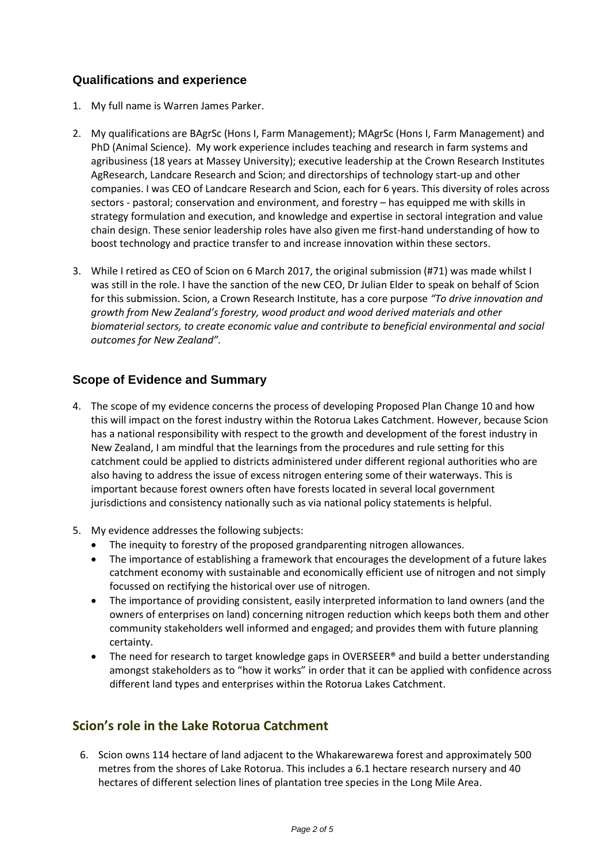#### **Qualifications and experience**

- 1. My full name is Warren James Parker.
- 2. My qualifications are BAgrSc (Hons I, Farm Management); MAgrSc (Hons I, Farm Management) and PhD (Animal Science). My work experience includes teaching and research in farm systems and agribusiness (18 years at Massey University); executive leadership at the Crown Research Institutes AgResearch, Landcare Research and Scion; and directorships of technology start-up and other companies. I was CEO of Landcare Research and Scion, each for 6 years. This diversity of roles across sectors - pastoral; conservation and environment, and forestry – has equipped me with skills in strategy formulation and execution, and knowledge and expertise in sectoral integration and value chain design. These senior leadership roles have also given me first-hand understanding of how to boost technology and practice transfer to and increase innovation within these sectors.
- 3. While I retired as CEO of Scion on 6 March 2017, the original submission (#71) was made whilst I was still in the role. I have the sanction of the new CEO, Dr Julian Elder to speak on behalf of Scion for this submission. Scion, a Crown Research Institute, has a core purpose *"To drive innovation and growth from New Zealand's forestry, wood product and wood derived materials and other biomaterial sectors, to create economic value and contribute to beneficial environmental and social outcomes for New Zealand".*

## **Scope of Evidence and Summary**

- 4. The scope of my evidence concerns the process of developing Proposed Plan Change 10 and how this will impact on the forest industry within the Rotorua Lakes Catchment. However, because Scion has a national responsibility with respect to the growth and development of the forest industry in New Zealand, I am mindful that the learnings from the procedures and rule setting for this catchment could be applied to districts administered under different regional authorities who are also having to address the issue of excess nitrogen entering some of their waterways. This is important because forest owners often have forests located in several local government jurisdictions and consistency nationally such as via national policy statements is helpful.
- 5. My evidence addresses the following subjects:
	- The inequity to forestry of the proposed grandparenting nitrogen allowances.
	- The importance of establishing a framework that encourages the development of a future lakes catchment economy with sustainable and economically efficient use of nitrogen and not simply focussed on rectifying the historical over use of nitrogen.
	- The importance of providing consistent, easily interpreted information to land owners (and the owners of enterprises on land) concerning nitrogen reduction which keeps both them and other community stakeholders well informed and engaged; and provides them with future planning certainty.
	- The need for research to target knowledge gaps in OVERSEER® and build a better understanding amongst stakeholders as to "how it works" in order that it can be applied with confidence across different land types and enterprises within the Rotorua Lakes Catchment.

# <span id="page-1-0"></span>**Scion's role in the Lake Rotorua Catchment**

6. Scion owns 114 hectare of land adjacent to the Whakarewarewa forest and approximately 500 metres from the shores of Lake Rotorua. This includes a 6.1 hectare research nursery and 40 hectares of different selection lines of plantation tree species in the Long Mile Area.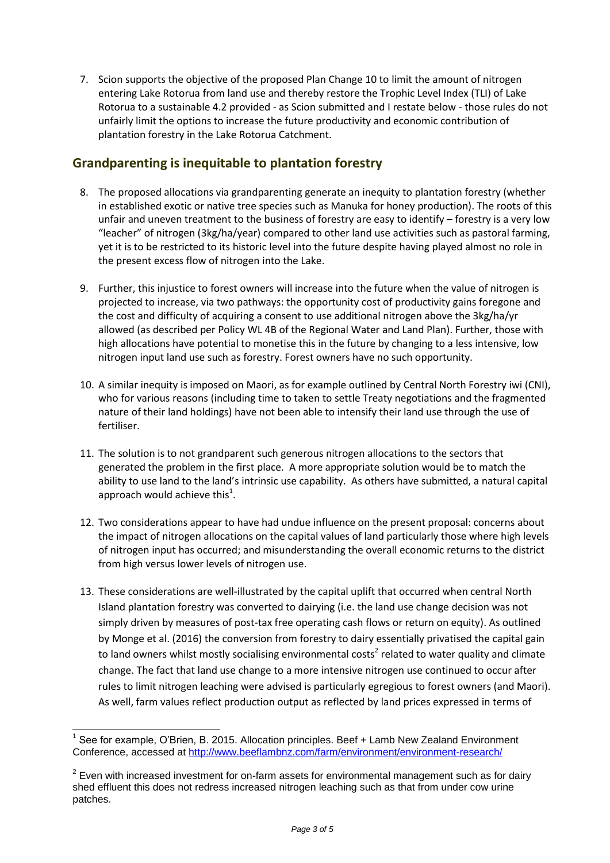7. Scion supports the objective of the proposed Plan Change 10 to limit the amount of nitrogen entering Lake Rotorua from land use and thereby restore the Trophic Level Index (TLI) of Lake Rotorua to a sustainable 4.2 provided - as Scion submitted and I restate below - those rules do not unfairly limit the options to increase the future productivity and economic contribution of plantation forestry in the Lake Rotorua Catchment.

#### <span id="page-2-0"></span>**Grandparenting is inequitable to plantation forestry**

- 8. The proposed allocations via grandparenting generate an inequity to plantation forestry (whether in established exotic or native tree species such as Manuka for honey production). The roots of this unfair and uneven treatment to the business of forestry are easy to identify – forestry is a very low "leacher" of nitrogen (3kg/ha/year) compared to other land use activities such as pastoral farming, yet it is to be restricted to its historic level into the future despite having played almost no role in the present excess flow of nitrogen into the Lake.
- 9. Further, this injustice to forest owners will increase into the future when the value of nitrogen is projected to increase, via two pathways: the opportunity cost of productivity gains foregone and the cost and difficulty of acquiring a consent to use additional nitrogen above the 3kg/ha/yr allowed (as described per Policy WL 4B of the Regional Water and Land Plan). Further, those with high allocations have potential to monetise this in the future by changing to a less intensive, low nitrogen input land use such as forestry. Forest owners have no such opportunity.
- 10. A similar inequity is imposed on Maori, as for example outlined by Central North Forestry iwi (CNI), who for various reasons (including time to taken to settle Treaty negotiations and the fragmented nature of their land holdings) have not been able to intensify their land use through the use of fertiliser.
- 11. The solution is to not grandparent such generous nitrogen allocations to the sectors that generated the problem in the first place. A more appropriate solution would be to match the ability to use land to the land's intrinsic use capability. As others have submitted, a natural capital approach would achieve this<sup>1</sup>.
- 12. Two considerations appear to have had undue influence on the present proposal: concerns about the impact of nitrogen allocations on the capital values of land particularly those where high levels of nitrogen input has occurred; and misunderstanding the overall economic returns to the district from high versus lower levels of nitrogen use.
- 13. These considerations are well-illustrated by the capital uplift that occurred when central North Island plantation forestry was converted to dairying (i.e. the land use change decision was not simply driven by measures of post-tax free operating cash flows or return on equity). As outlined by Monge et al. (2016) the conversion from forestry to dairy essentially privatised the capital gain to land owners whilst mostly socialising environmental costs<sup>2</sup> related to water quality and climate change. The fact that land use change to a more intensive nitrogen use continued to occur after rules to limit nitrogen leaching were advised is particularly egregious to forest owners (and Maori). As well, farm values reflect production output as reflected by land prices expressed in terms of

j

<sup>&</sup>lt;sup>1</sup> See for example, O'Brien, B. 2015. Allocation principles. Beef + Lamb New Zealand Environment Conference, accessed at<http://www.beeflambnz.com/farm/environment/environment-research/>

 $2$  Even with increased investment for on-farm assets for environmental management such as for dairy shed effluent this does not redress increased nitrogen leaching such as that from under cow urine patches.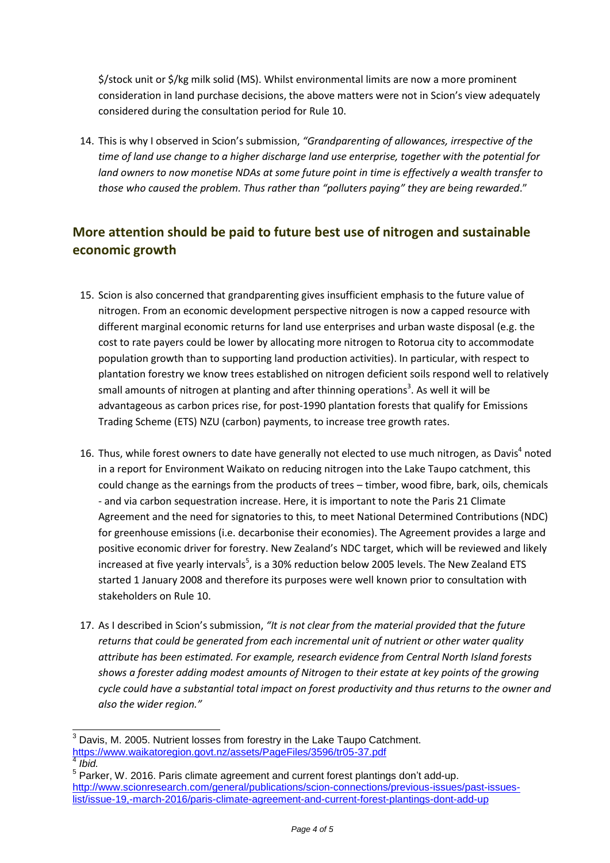\$/stock unit or \$/kg milk solid (MS). Whilst environmental limits are now a more prominent consideration in land purchase decisions, the above matters were not in Scion's view adequately considered during the consultation period for Rule 10.

14. This is why I observed in Scion's submission, *"Grandparenting of allowances, irrespective of the time of land use change to a higher discharge land use enterprise, together with the potential for land owners to now monetise NDAs at some future point in time is effectively a wealth transfer to those who caused the problem. Thus rather than "polluters paying" they are being rewarded*."

# <span id="page-3-0"></span>**More attention should be paid to future best use of nitrogen and sustainable economic growth**

- 15. Scion is also concerned that grandparenting gives insufficient emphasis to the future value of nitrogen. From an economic development perspective nitrogen is now a capped resource with different marginal economic returns for land use enterprises and urban waste disposal (e.g. the cost to rate payers could be lower by allocating more nitrogen to Rotorua city to accommodate population growth than to supporting land production activities). In particular, with respect to plantation forestry we know trees established on nitrogen deficient soils respond well to relatively small amounts of nitrogen at planting and after thinning operations<sup>3</sup>. As well it will be advantageous as carbon prices rise, for post-1990 plantation forests that qualify for Emissions Trading Scheme (ETS) NZU (carbon) payments, to increase tree growth rates.
- 16. Thus, while forest owners to date have generally not elected to use much nitrogen, as Davis<sup>4</sup> noted in a report for Environment Waikato on reducing nitrogen into the Lake Taupo catchment, this could change as the earnings from the products of trees – timber, wood fibre, bark, oils, chemicals - and via carbon sequestration increase. Here, it is important to note the Paris 21 Climate Agreement and the need for signatories to this, to meet National Determined Contributions (NDC) for greenhouse emissions (i.e. decarbonise their economies). The Agreement provides a large and positive economic driver for forestry. New Zealand's NDC target, which will be reviewed and likely increased at five yearly intervals<sup>5</sup>, is a 30% reduction below 2005 levels. The New Zealand ETS started 1 January 2008 and therefore its purposes were well known prior to consultation with stakeholders on Rule 10.
- 17. As I described in Scion's submission, *"It is not clear from the material provided that the future returns that could be generated from each incremental unit of nutrient or other water quality attribute has been estimated. For example, research evidence from Central North Island forests shows a forester adding modest amounts of Nitrogen to their estate at key points of the growing cycle could have a substantial total impact on forest productivity and thus returns to the owner and also the wider region."*

 $\overline{\phantom{a}}$  $3$  Davis, M. 2005. Nutrient losses from forestry in the Lake Taupo Catchment. <https://www.waikatoregion.govt.nz/assets/PageFiles/3596/tr05-37.pdf>

<sup>4</sup> *Ibid.*

 $<sup>5</sup>$  Parker, W. 2016. Paris climate agreement and current forest plantings don't add-up.</sup> [http://www.scionresearch.com/general/publications/scion-connections/previous-issues/past-issues](http://www.scionresearch.com/general/publications/scion-connections/previous-issues/past-issues-list/issue-19,-march-2016/paris-climate-agreement-and-current-forest-plantings-dont-add-up)[list/issue-19,-march-2016/paris-climate-agreement-and-current-forest-plantings-dont-add-up](http://www.scionresearch.com/general/publications/scion-connections/previous-issues/past-issues-list/issue-19,-march-2016/paris-climate-agreement-and-current-forest-plantings-dont-add-up)